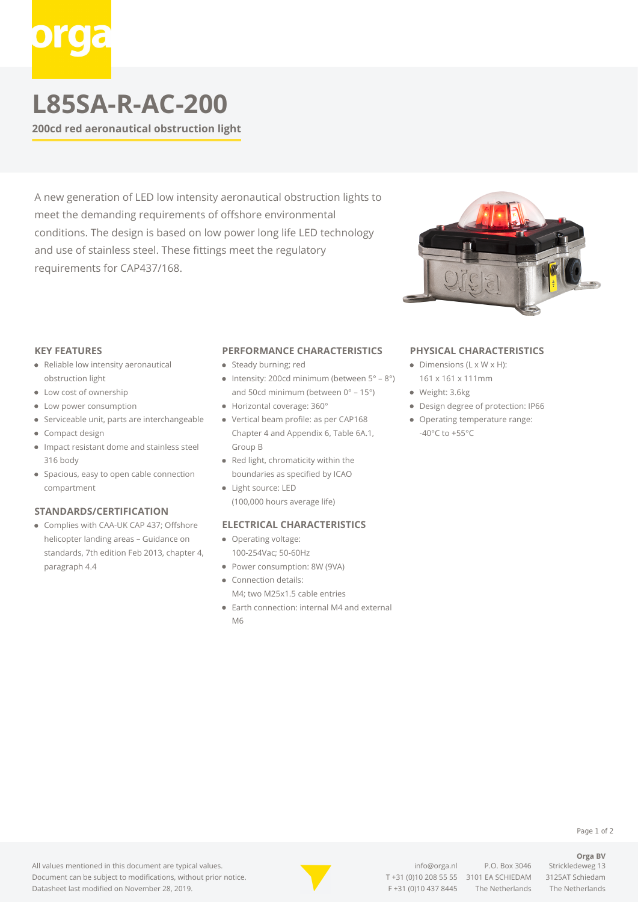# **L85SA-R-AC-200**

**200cd red aeronautical obstruction light**

A new generation of LED low intensity aeronautical obstruction lights to meet the demanding requirements of offshore environmental conditions. The design is based on low power long life LED technology and use of stainless steel. These fittings meet the regulatory requirements for CAP437/168.



## **KEY FEATURES**

- Reliable low intensity aeronautical obstruction light
- Low cost of ownership
- Low power consumption
- Serviceable unit, parts are interchangeable
- Compact design
- Impact resistant dome and stainless steel 316 body
- Spacious, easy to open cable connection compartment

### **STANDARDS/CERTIFICATION**

Complies with CAA-UK CAP 437; Offshore helicopter landing areas – Guidance on standards, 7th edition Feb 2013, chapter 4, paragraph 4.4

## **PERFORMANCE CHARACTERISTICS**

- Steady burning; red
- $\bullet$  Intensity: 200cd minimum (between  $5^{\circ}$   $8^{\circ}$ ) and 50cd minimum (between 0° – 15°)
- Horizontal coverage: 360°
- Vertical beam profile: as per CAP168 Chapter 4 and Appendix 6, Table 6A.1, Group B
- Red light, chromaticity within the boundaries as specified by ICAO
- Light source: LED (100,000 hours average life)

#### **ELECTRICAL CHARACTERISTICS**

- Operating voltage: 100-254Vac; 50-60Hz
- Power consumption: 8W (9VA)
- Connection details: M4; two M25x1.5 cable entries
- Earth connection: internal M4 and external  $MA$

### **PHYSICAL CHARACTERISTICS**

- $\bullet$  Dimensions (L x W x H): 161 x 161 x 111mm
- Weight: 3.6kg
- Design degree of protection: IP66
- Operating temperature range: -40°C to +55°C

#### Page 1 of 2

**Orga BV**

All values mentioned in this document are typical values. Document can be subject to modifications, without prior notice. Datasheet last modified on November 28, 2019.



[info@orga.nl](mailto:info@orga.nl) P.O. Box 3046 Strickledeweg 13 T [+31 \(0\)10 208 55 55](#page--1-0) 3101 EA SCHIEDAM 3125AT Schiedam F +31 (0)10 437 8445 The Netherlands The Netherlands